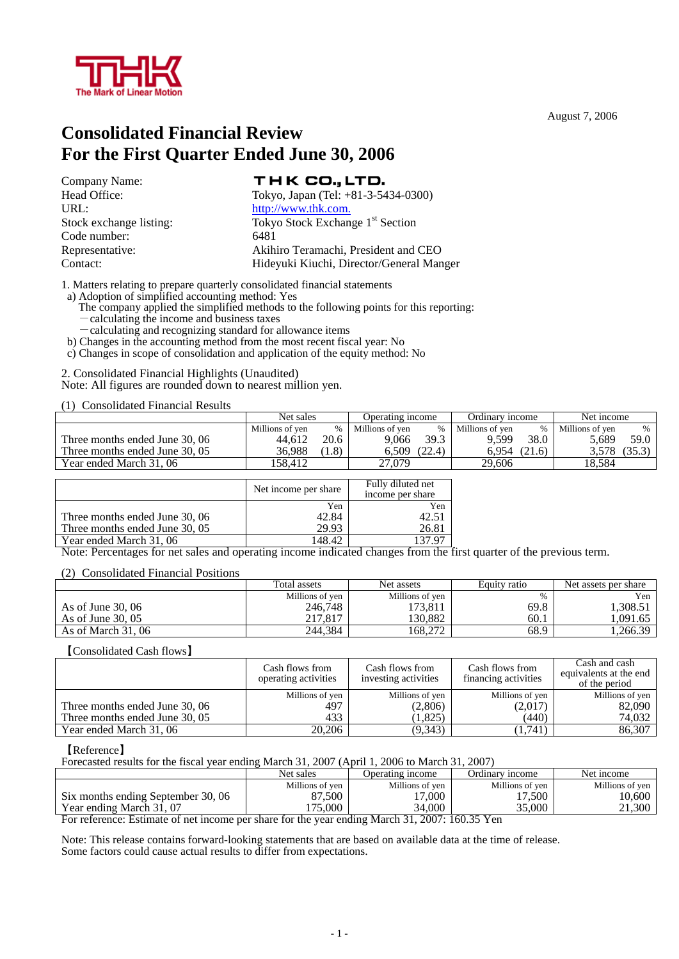

August 7, 2006

# **Consolidated Financial Review For the First Quarter Ended June 30, 2006**

Company Name: URL: http://www.thk.com. Code number: 6481

# THK CO., LTD.

Head Office: Tokyo, Japan (Tel: +81-3-5434-0300) Stock exchange listing: Tokyo Stock Exchange 1<sup>st</sup> Section Representative: Akihiro Teramachi, President and CEO Contact: Hideyuki Kiuchi, Director/General Manger

1. Matters relating to prepare quarterly consolidated financial statements

a) Adoption of simplified accounting method: Yes

The company applied the simplified methods to the following points for this reporting:

-calculating and recognizing standard for allowance items

b) Changes in the accounting method from the most recent fiscal year: No

c) Changes in scope of consolidation and application of the equity method: No

2. Consolidated Financial Highlights (Unaudited) Note: All figures are rounded down to nearest million yen.

(1) Consolidated Financial Results

|                                | Net sales       |      | Operating income |        | Ordinary income |               | Net income      |               |
|--------------------------------|-----------------|------|------------------|--------|-----------------|---------------|-----------------|---------------|
|                                | Millions of ven | %    | Millions of ven  | $\%$   | Millions of yen | $\frac{0}{0}$ | Millions of ven | $\frac{0}{0}$ |
| Three months ended June 30, 06 | 44.612          | 20.6 | 9.066            | 39.3   | 9.599           | 38.0          | 5.689           | 59.0          |
| Three months ended June 30, 05 | 36.988          | 1.8) | 6.509            | (22.4) | 6.954           | (21.6)        | 3.578           | (35.3)        |
| Year ended March 31, 06        | 158.412         |      | 27.079           |        | 29.606          |               | 18.584          |               |

|                                | Net income per share | Fully diluted net<br>income per share |  |  |
|--------------------------------|----------------------|---------------------------------------|--|--|
|                                | Yen                  | Yen                                   |  |  |
| Three months ended June 30, 06 | 42.84                | 42.51                                 |  |  |
| Three months ended June 30, 05 | 29.93                | 26.81                                 |  |  |
| Year ended March 31, 06        | 148.42               |                                       |  |  |

Note: Percentages for net sales and operating income indicated changes from the first quarter of the previous term.

#### (2) Consolidated Financial Positions

|                    | Total assets    | Net assets      | Equity ratio | Net assets per share |
|--------------------|-----------------|-----------------|--------------|----------------------|
|                    | Millions of yen | Millions of yen |              | Yen                  |
| As of June $30,06$ | 246,748         | '73,811         | 69.8         | .308.51              |
| As of June $30.05$ | 217,817         | 130.882         | 60.1         | .091.65              |
| As of March 31, 06 | 244.384         | 168.272         | 68.9         | ,266.39              |

#### 【Consolidated Cash flows】

|                                | Cash flows from<br>operating activities | Cash flows from<br>investing activities | Cash flows from<br>financing activities | Cash and cash<br>equivalents at the end<br>of the period |
|--------------------------------|-----------------------------------------|-----------------------------------------|-----------------------------------------|----------------------------------------------------------|
|                                | Millions of yen                         | Millions of yen                         | Millions of yen                         | Millions of yen                                          |
| Three months ended June 30, 06 | 497                                     | (2,806)                                 | (2,017)                                 | 82.090                                                   |
| Three months ended June 30, 05 | 433                                     | 1,825                                   | (440)                                   | 74,032                                                   |
| Year ended March 31, 06        | 20,206                                  | (9, 343)                                | (1,741)                                 | 86,307                                                   |

#### 【Reference】

Forecasted results for the fiscal year ending March 31, 2007 (April 1, 2006 to March 31, 2007)

|                                            | Net sales       | Jperating income                  | Ordinary income | Net income      |
|--------------------------------------------|-----------------|-----------------------------------|-----------------|-----------------|
|                                            | Millions of yen | Millions of ven                   | Millions of yen | Millions of yen |
| Six months ending September 30, 06         | 87.500          | 7,000<br>$\overline{ }$           | 1.500           | 10,600          |
| Year ending March 31, 07                   | 75,000          | 34.000                            | 35.000          | 21,300          |
| $\overline{\phantom{0}}$<br>$\blacksquare$ |                 | 21.2007.150.277<br>$\blacksquare$ |                 |                 |

For reference: Estimate of net income per share for the year ending March 31, 2007: 160.35 Yen

Note: This release contains forward-looking statements that are based on available data at the time of release. Some factors could cause actual results to differ from expectations.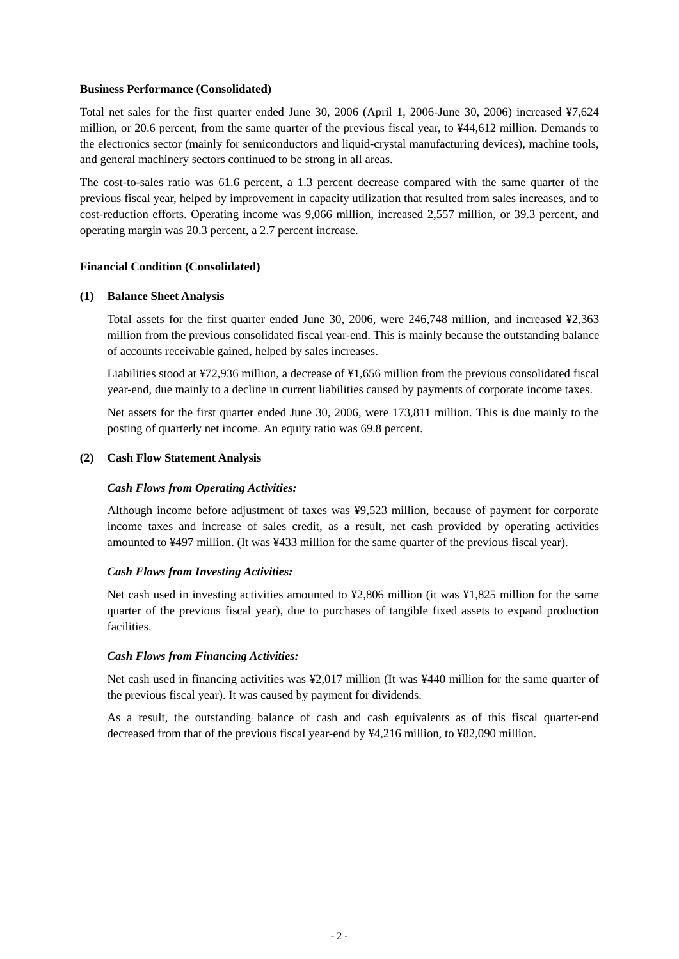## **Business Performance (Consolidated)**

Total net sales for the first quarter ended June 30, 2006 (April 1, 2006-June 30, 2006) increased ¥7,624 million, or 20.6 percent, from the same quarter of the previous fiscal year, to ¥44,612 million. Demands to the electronics sector (mainly for semiconductors and liquid-crystal manufacturing devices), machine tools, and general machinery sectors continued to be strong in all areas.

The cost-to-sales ratio was 61.6 percent, a 1.3 percent decrease compared with the same quarter of the previous fiscal year, helped by improvement in capacity utilization that resulted from sales increases, and to cost-reduction efforts. Operating income was 9,066 million, increased 2,557 million, or 39.3 percent, and operating margin was 20.3 percent, a 2.7 percent increase.

## **Financial Condition (Consolidated)**

#### **(1) Balance Sheet Analysis**

Total assets for the first quarter ended June 30, 2006, were 246,748 million, and increased ¥2,363 million from the previous consolidated fiscal year-end. This is mainly because the outstanding balance of accounts receivable gained, helped by sales increases.

Liabilities stood at ¥72,936 million, a decrease of ¥1,656 million from the previous consolidated fiscal year-end, due mainly to a decline in current liabilities caused by payments of corporate income taxes.

Net assets for the first quarter ended June 30, 2006, were 173,811 million. This is due mainly to the posting of quarterly net income. An equity ratio was 69.8 percent.

## **(2) Cash Flow Statement Analysis**

# *Cash Flows from Operating Activities:*

Although income before adjustment of taxes was ¥9,523 million, because of payment for corporate income taxes and increase of sales credit, as a result, net cash provided by operating activities amounted to ¥497 million. (It was ¥433 million for the same quarter of the previous fiscal year).

#### *Cash Flows from Investing Activities:*

Net cash used in investing activities amounted to ¥2,806 million (it was ¥1,825 million for the same quarter of the previous fiscal year), due to purchases of tangible fixed assets to expand production facilities.

# *Cash Flows from Financing Activities:*

Net cash used in financing activities was ¥2,017 million (It was ¥440 million for the same quarter of the previous fiscal year). It was caused by payment for dividends.

As a result, the outstanding balance of cash and cash equivalents as of this fiscal quarter-end decreased from that of the previous fiscal year-end by ¥4,216 million, to ¥82,090 million.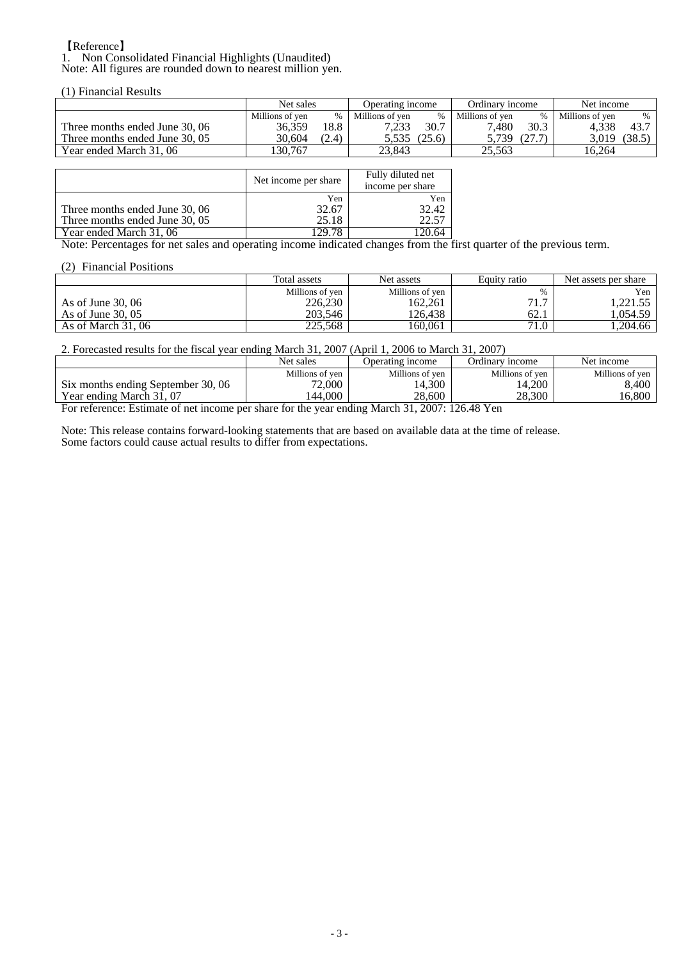#### 【Reference】 1. Non Consolidated Financial Highlights (Unaudited) Note: All figures are rounded down to nearest million yen.

(1) Financial Results

|                                | Net sales       |       | Operating income |        | Ordinary income |      | Net income      |        |
|--------------------------------|-----------------|-------|------------------|--------|-----------------|------|-----------------|--------|
|                                | Millions of ven | %     | Millions of ven  | $\%$   | Millions of ven | $\%$ | Millions of ven | $\%$   |
| Three months ended June 30, 06 | 36.359          | 18.8  |                  | 30.7   | 7.480           | 30.3 | 4.338           | 43.7   |
| Three months ended June 30, 05 | 30.604          | (2.4) | 5.535            | (25.6) | 5.739           |      | 3.019           | (38.5) |
| Year ended March 31, 06        | 30.767          |       | 23.843           |        | 25.563          |      | 16.264          |        |

|                                | Net income per share | Fully diluted net<br>income per share |  |  |
|--------------------------------|----------------------|---------------------------------------|--|--|
|                                | Yen                  | Yen                                   |  |  |
| Three months ended June 30, 06 | 32.67                | 32.42                                 |  |  |
| Three months ended June 30, 05 | 25.18                | 22.57                                 |  |  |
| Year ended March 31, 06        | 29.78<br>---         |                                       |  |  |

Note: Percentages for net sales and operating income indicated changes from the first quarter of the previous term.

### (2) Financial Positions

|                     | Total assets    | Net assets      | Equity ratio  | Net assets per share |  |
|---------------------|-----------------|-----------------|---------------|----------------------|--|
|                     | Millions of yen | Millions of yen | $\frac{0}{0}$ | Yen                  |  |
| As of June $30,06$  | 226,230         | 162.261         | 71.7          | .221.55              |  |
| As of June $30,05$  | 203.546         | 126.438         | 62.1          | . 054.59             |  |
| As of March $31,06$ | 225,568         | 160.061         | 71.0          | . 204.66             |  |

2. Forecasted results for the fiscal year ending March 31, 2007 (April 1, 2006 to March 31, 2007)

|                                                                                                      | Net sales       | Jperating income | Ordinarv income | Net income      |  |  |  |
|------------------------------------------------------------------------------------------------------|-----------------|------------------|-----------------|-----------------|--|--|--|
|                                                                                                      | Millions of ven | Millions of yen  | Millions of ven | Millions of ven |  |  |  |
| Six months ending September 30, 06                                                                   | 72.000          | 14,300           | 14,200          | 3,400           |  |  |  |
| Year ending March 31, 07                                                                             | 44,000          | 28.600           | 28.300          | 16.800          |  |  |  |
| $2007.12640$ V <sub>on</sub><br>Equipmentation of not income non change for the year anding March 21 |                 |                  |                 |                 |  |  |  |

For reference: Estimate of net income per share for the year ending March 31, 2007: 126.48 Yen

Note: This release contains forward-looking statements that are based on available data at the time of release. Some factors could cause actual results to differ from expectations.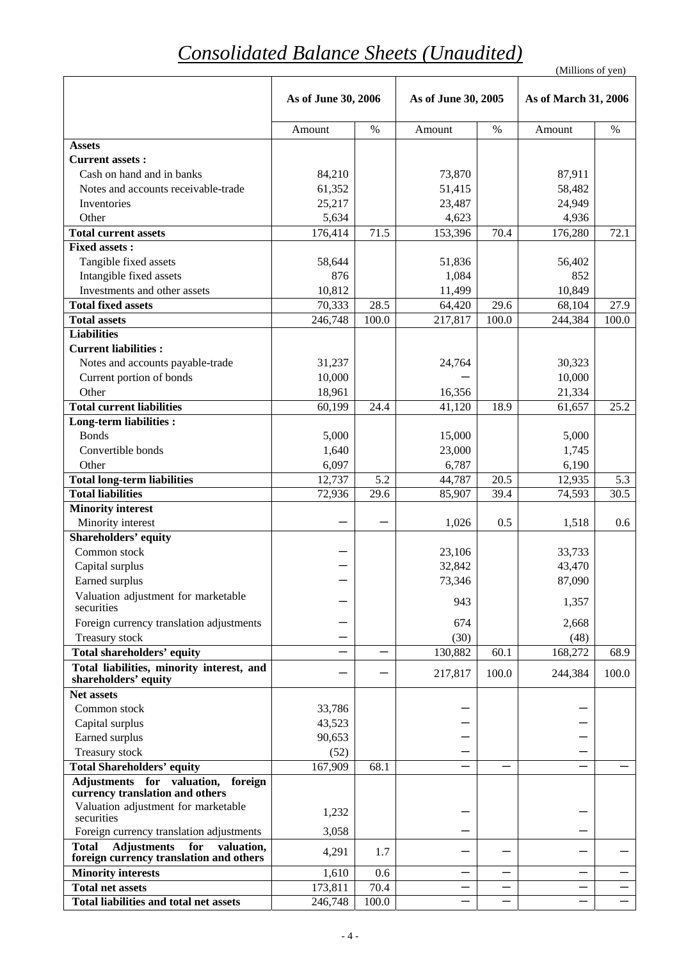# *Consolidated Balance Sheets (Unaudited)*

|                                                                      |                     | (Millions of yen) |                     |       |                          |       |
|----------------------------------------------------------------------|---------------------|-------------------|---------------------|-------|--------------------------|-------|
|                                                                      | As of June 30, 2006 |                   | As of June 30, 2005 |       | As of March 31, 2006     |       |
|                                                                      | Amount              | $\%$              | Amount              | $\%$  | Amount                   | $\%$  |
| <b>Assets</b>                                                        |                     |                   |                     |       |                          |       |
| <b>Current assets:</b>                                               |                     |                   |                     |       |                          |       |
| Cash on hand and in banks                                            | 84,210              |                   | 73,870              |       | 87,911                   |       |
| Notes and accounts receivable-trade                                  | 61,352              |                   | 51,415              |       | 58,482                   |       |
| Inventories                                                          | 25,217              |                   | 23,487              |       | 24,949                   |       |
| Other                                                                | 5,634               |                   | 4,623               |       | 4,936                    |       |
| <b>Total current assets</b>                                          | 176,414             | 71.5              | 153,396             | 70.4  | 176,280                  | 72.1  |
| <b>Fixed assets:</b>                                                 |                     |                   |                     |       |                          |       |
| Tangible fixed assets                                                | 58,644              |                   | 51,836              |       | 56,402                   |       |
| Intangible fixed assets                                              | 876                 |                   | 1,084               |       | 852                      |       |
| Investments and other assets                                         | 10,812              |                   | 11,499              |       | 10,849                   |       |
| <b>Total fixed assets</b>                                            | 70,333              | 28.5              | 64,420              | 29.6  | 68,104                   | 27.9  |
| <b>Total assets</b>                                                  | 246,748             | 100.0             | 217,817             | 100.0 | 244,384                  | 100.0 |
| <b>Liabilities</b>                                                   |                     |                   |                     |       |                          |       |
| <b>Current liabilities:</b>                                          |                     |                   |                     |       |                          |       |
| Notes and accounts payable-trade                                     | 31,237              |                   | 24,764              |       | 30,323                   |       |
| Current portion of bonds                                             | 10,000              |                   |                     |       | 10,000                   |       |
| Other                                                                | 18,961              |                   | 16,356              |       | 21,334                   |       |
| <b>Total current liabilities</b>                                     | 60,199              | 24.4              | 41,120              | 18.9  | 61,657                   | 25.2  |
| Long-term liabilities :                                              |                     |                   |                     |       |                          |       |
| <b>Bonds</b>                                                         | 5,000               |                   | 15,000              |       | 5,000                    |       |
| Convertible bonds                                                    | 1,640               |                   | 23,000              |       | 1,745                    |       |
| Other                                                                | 6,097               |                   | 6,787               |       | 6,190                    |       |
| <b>Total long-term liabilities</b>                                   | 12,737              | 5.2               | 44,787              | 20.5  | 12,935                   | 5.3   |
| <b>Total liabilities</b>                                             | 72,936              | 29.6              | 85,907              | 39.4  | 74,593                   | 30.5  |
| <b>Minority interest</b>                                             |                     |                   |                     |       |                          |       |
| Minority interest                                                    |                     |                   | 1,026               | 0.5   | 1,518                    | 0.6   |
| Shareholders' equity                                                 |                     |                   |                     |       |                          |       |
| Common stock                                                         |                     |                   | 23,106              |       | 33,733                   |       |
| Capital surplus                                                      |                     |                   | 32,842              |       | 43,470                   |       |
| Earned surplus                                                       |                     |                   | 73,346              |       | 87,090                   |       |
| Valuation adjustment for marketable<br>securities                    |                     |                   | 943                 |       | 1,357                    |       |
| Foreign currency translation adjustments                             |                     |                   | 674                 |       | 2,668                    |       |
| Treasury stock                                                       |                     |                   | (30)                |       | (48)                     |       |
| <b>Total shareholders' equity</b>                                    |                     |                   | 130,882             | 60.1  | 168,272                  | 68.9  |
| Total liabilities, minority interest, and                            |                     |                   |                     |       |                          |       |
| shareholders' equity                                                 |                     |                   | 217,817             | 100.0 | 244,384                  | 100.0 |
| Net assets                                                           |                     |                   |                     |       |                          |       |
| Common stock                                                         | 33,786              |                   |                     |       |                          |       |
| Capital surplus                                                      | 43,523              |                   |                     |       |                          |       |
| Earned surplus                                                       | 90,653              |                   |                     |       |                          |       |
| Treasury stock                                                       | (52)                |                   |                     |       |                          |       |
| <b>Total Shareholders' equity</b>                                    | 167,909             | 68.1              |                     |       |                          |       |
| Adjustments for valuation,<br>foreign                                |                     |                   |                     |       |                          |       |
| currency translation and others                                      |                     |                   |                     |       |                          |       |
| Valuation adjustment for marketable                                  | 1,232               |                   |                     |       |                          |       |
| securities<br>Foreign currency translation adjustments               | 3,058               |                   |                     |       |                          |       |
| <b>Total</b><br><b>Adjustments</b><br>for<br>valuation,              | 4,291               | 1.7               |                     |       |                          |       |
| foreign currency translation and others<br><b>Minority interests</b> | 1,610               | 0.6               |                     |       |                          |       |
| <b>Total net assets</b>                                              | 173,811             | 70.4              |                     |       | $\overline{\phantom{0}}$ |       |
| Total liabilities and total net assets                               | 246,748             | 100.0             |                     |       |                          |       |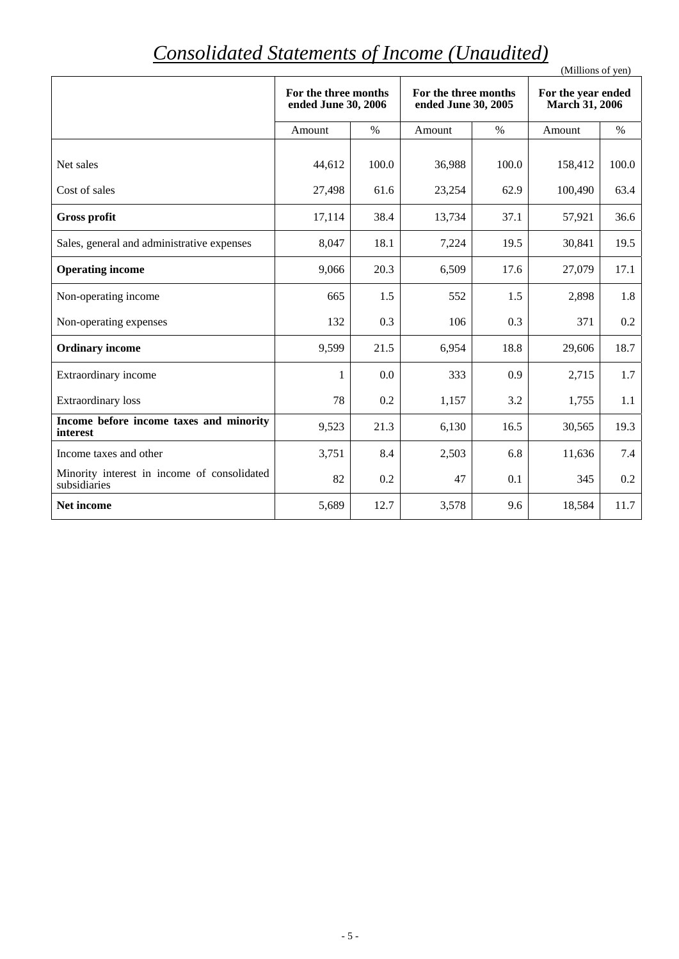# *Consolidated Statements of Income (Unaudited)*

| Consolidated Statements of Income (Ondiality)               |                                             |       |                                             |       | (Millions of yen)                           |       |
|-------------------------------------------------------------|---------------------------------------------|-------|---------------------------------------------|-------|---------------------------------------------|-------|
|                                                             | For the three months<br>ended June 30, 2006 |       | For the three months<br>ended June 30, 2005 |       | For the year ended<br><b>March 31, 2006</b> |       |
|                                                             | Amount                                      | $\%$  | Amount                                      | $\%$  | Amount                                      | $\%$  |
| Net sales                                                   | 44,612                                      | 100.0 | 36,988                                      | 100.0 | 158,412                                     | 100.0 |
| Cost of sales                                               | 27,498                                      | 61.6  | 23,254                                      | 62.9  | 100,490                                     | 63.4  |
| <b>Gross profit</b>                                         | 17,114                                      | 38.4  | 13,734                                      | 37.1  | 57,921                                      | 36.6  |
| Sales, general and administrative expenses                  | 8,047                                       | 18.1  | 7,224                                       | 19.5  | 30,841                                      | 19.5  |
| <b>Operating income</b>                                     | 9,066                                       | 20.3  | 6,509                                       | 17.6  | 27,079                                      | 17.1  |
| Non-operating income                                        | 665                                         | 1.5   | 552                                         | 1.5   | 2,898                                       | 1.8   |
| Non-operating expenses                                      | 132                                         | 0.3   | 106                                         | 0.3   | 371                                         | 0.2   |
| <b>Ordinary income</b>                                      | 9,599                                       | 21.5  | 6,954                                       | 18.8  | 29,606                                      | 18.7  |
| Extraordinary income                                        | 1                                           | 0.0   | 333                                         | 0.9   | 2,715                                       | 1.7   |
| <b>Extraordinary</b> loss                                   | 78                                          | 0.2   | 1,157                                       | 3.2   | 1,755                                       | 1.1   |
| Income before income taxes and minority<br>interest         | 9,523                                       | 21.3  | 6,130                                       | 16.5  | 30,565                                      | 19.3  |
| Income taxes and other                                      | 3,751                                       | 8.4   | 2,503                                       | 6.8   | 11,636                                      | 7.4   |
| Minority interest in income of consolidated<br>subsidiaries | 82                                          | 0.2   | 47                                          | 0.1   | 345                                         | 0.2   |
| Net income                                                  | 5,689                                       | 12.7  | 3,578                                       | 9.6   | 18,584                                      | 11.7  |